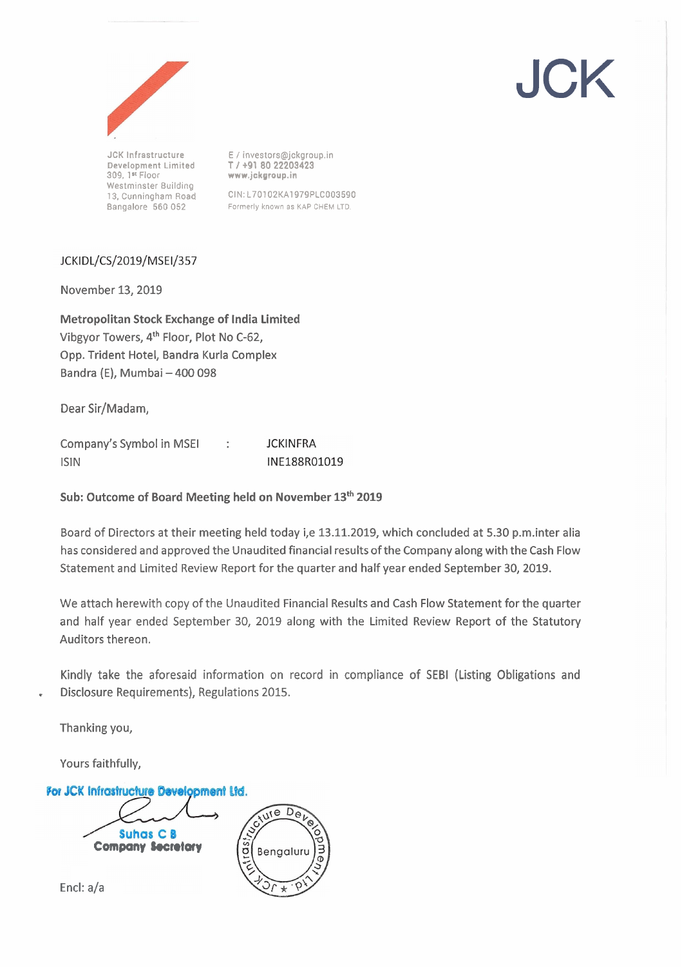

**Development Limited**<br>309. 1\* Floor **Westminster Building** 

**JCK Infrastructure E** / **investors@jckgroup.in 309, 1 Floor www.jckgroup.in** 

**13, Cunningharn Road** CIN:L70102KA1979PLCO03590 **Bangalore 560 052** Formerly **known as** KAP **CHEM** LTD

JCK

# JCKIDL/CS/2019/MSEI/357

November 13,2019

Metropolitan Stock Exchange of India Limited Vibgyor Towers, **4th** Floor, Plot No C-62, Opp. Trident Hotel, Bandra Kurla Complex Bandra (E), Mumbai - 400 098

Dear Sir/Madam,

Company's Symbol in MSEI : **JCKINFRA** lSlN INE188R01019

Sub: Outcome of Board Meeting held on November 13<sup>th</sup> 2019

Board of Directors at their meeting held today i,e 13.11.2019, which concluded at 5.30 p.m.inter alia has considered and approved the Unaudited financial results of the Company along with the Cash Flow Statement and Limited Review Report for the quarter and half year ended September 30,2019.

We attach herewith copy of the Unaudited Financial Results and Cash Flow Statement for the quarter and half year ended September 30, 2019 along with the Limited Review Report of the Statutory Auditors thereon.

Kindly take the aforesaid information on record in compliance of SEBl (Listing Obligations and . Disclosure Requirements), Regulations 2015.

Thanking you,

Yours faithfully,



Encl: a/a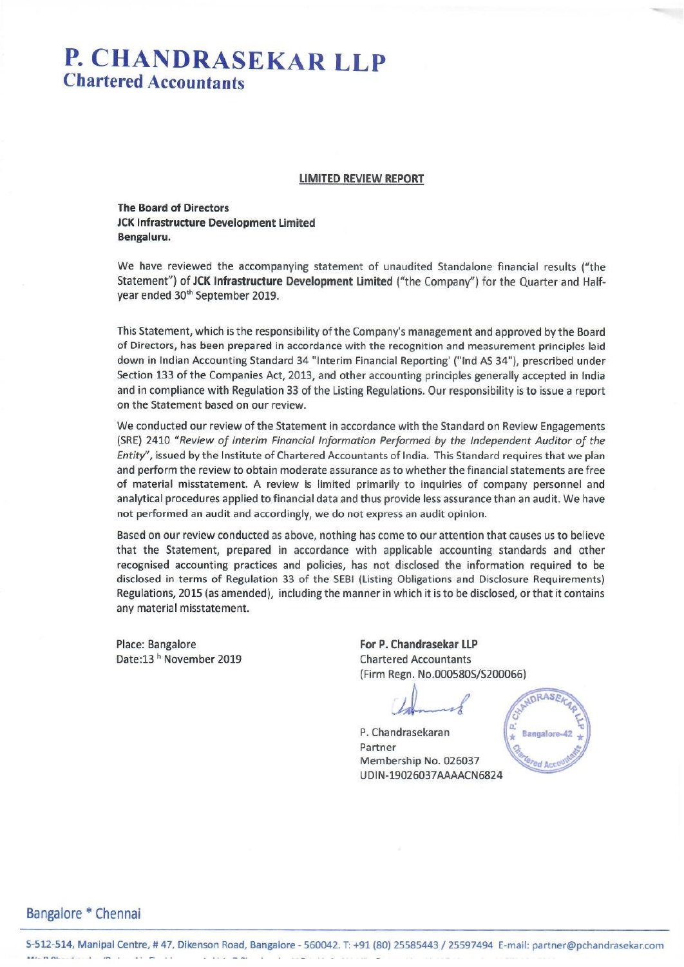# P. CHANDRASEKAR LLP **Chartered Accountants**

#### **LIMITED REVIEW REPORT**

**The Board of Directors JCK Infrastructure Development Limited** Bengaluru.

We have reviewed the accompanying statement of unaudited Standalone financial results ("the Statement") of JCK Infrastructure Development Limited ("the Company") for the Quarter and Halfyear ended 30<sup>th</sup> September 2019.

This Statement, which is the responsibility of the Company's management and approved by the Board of Directors, has been prepared in accordance with the recognition and measurement principles laid down in Indian Accounting Standard 34 "Interim Financial Reporting' ("Ind AS 34"), prescribed under Section 133 of the Companies Act, 2013, and other accounting principles generally accepted in India and in compliance with Regulation 33 of the Listing Regulations. Our responsibility is to issue a report on the Statement based on our review.

We conducted our review of the Statement in accordance with the Standard on Review Engagements (SRE) 2410 "Review of Interim Financial Information Performed by the Independent Auditor of the Entity", issued by the Institute of Chartered Accountants of India. This Standard requires that we plan and perform the review to obtain moderate assurance as to whether the financial statements are free of material misstatement. A review is limited primarily to inquiries of company personnel and analytical procedures applied to financial data and thus provide less assurance than an audit. We have not performed an audit and accordingly, we do not express an audit opinion.

Based on our review conducted as above, nothing has come to our attention that causes us to believe that the Statement, prepared in accordance with applicable accounting standards and other recognised accounting practices and policies, has not disclosed the information required to be disclosed in terms of Regulation 33 of the SEBI (Listing Obligations and Disclosure Requirements) Regulations, 2015 (as amended), including the manner in which it is to be disclosed, or that it contains any material misstatement.

Place: Bangalore Date:13<sup>h</sup> November 2019 For P. Chandrasekar LLP **Chartered Accountants** (Firm Regn. No.000580S/S200066)

P. Chandrasekaran Partner Membership No. 026037 UDIN-19026037AAAACN6824



Bangalore \* Chennai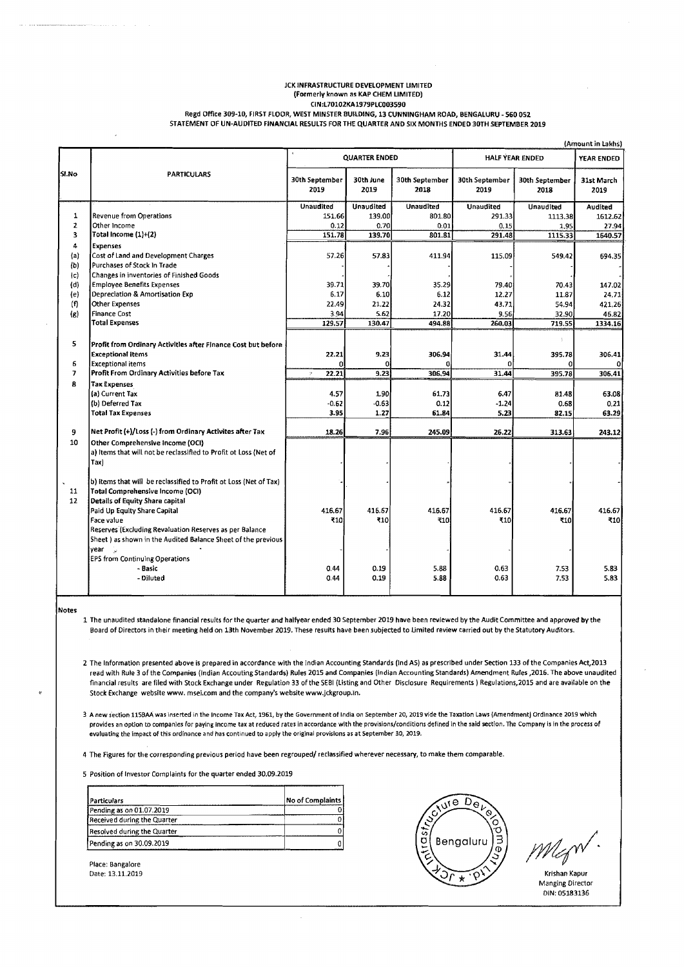#### ICK INFRASTRUCTURE DEVELOPMENT LIMITED (Formerly known as KAP CHEM LIMITED) **CIN:L70102KA1979PLC003590**  Regd Office 309-10, FIRST FLOOR, WEST MINSTER BUILDING, 13 CUNNINGHAM ROAD, BENGALURU - 560 052

STATEMENT OF UN-AUDITED FINANCIAL RESULTS FOR THE QUARTER AND SIX MONTHS ENDED 30TH SEPTEMBER 2019

|                | (Amount in Lakhs)                                                                         |                         |                   |                        |                        |                        |                    |  |
|----------------|-------------------------------------------------------------------------------------------|-------------------------|-------------------|------------------------|------------------------|------------------------|--------------------|--|
|                |                                                                                           | <b>QUARTER ENDED</b>    |                   |                        | <b>HALF YEAR ENDED</b> |                        | YEAR ENDED         |  |
| SI.No          | <b>PARTICULARS</b>                                                                        | 30th September<br>2019  | 30th June<br>2019 | 30th September<br>2018 | 30th September<br>2019 | 30th September<br>2018 | 31st March<br>2019 |  |
|                |                                                                                           | <b>Unaudited</b>        | <b>Unaudited</b>  | <b>Unaudited</b>       | <b>Unaudited</b>       | <b>Unaudited</b>       | Audited            |  |
| $\mathbf{1}$   | Revenue from Operations                                                                   | 151.66                  | 139.00            | 801.80                 | 291.33                 | 1113.38                | 1612.62            |  |
| $\mathbf{z}$   | Other Income                                                                              | 0.12                    | 0.70              | 0.01                   | 0, 15                  | 1.95                   | 27.94              |  |
| 3              | Total Income (1)+(2)                                                                      | 151.78                  | 139.70            | 801.81                 | 291.48                 | 1115.33                | 1640.57            |  |
| 4              | <b>Expenses</b>                                                                           |                         |                   |                        |                        |                        |                    |  |
| (a)            | Cost of Land and Development Charges                                                      | 57.26                   | 57.83             | 411.94                 | 115.09                 | 549.42                 | 694.35             |  |
| (b)            | Purchases of Stock In Trade                                                               |                         |                   |                        |                        |                        |                    |  |
| $\{c\}$        | Changes in inventories of Finished Goods                                                  |                         |                   |                        |                        |                        |                    |  |
| (d)            | <b>Employee Benefits Expenses</b>                                                         | 39.71                   | 39.70             | 35.29                  | 79.40                  | 70.43                  | 147.02             |  |
| (e)            | Depreciation & Amortisation Exp                                                           | 6.17                    | 6.10              | 6.12                   | 12.27                  | 11.87                  | 24,71              |  |
| (f)            | Other Expenses<br><b>Finance Cost</b>                                                     | 22.49<br>3.94           | 21.22<br>5.62     | 24.32<br>17.20         | 43.71<br>9.56          | 54.94                  | 421.26             |  |
| (g)            | <b>Total Expenses</b>                                                                     | 129.57                  | 130.47            | 494.88                 | 260.03                 | 32.90<br>719.55        | 46.82<br>1334.16   |  |
|                |                                                                                           |                         |                   |                        |                        |                        |                    |  |
| 5              |                                                                                           |                         |                   |                        |                        |                        |                    |  |
|                | Profit from Ordinary Activities after Finance Cost but before<br><b>Exceptional items</b> |                         | 9.23              | 306.94                 | 31.44                  |                        |                    |  |
| 6              | <b>Exceptional items</b>                                                                  | 22.21                   | 0                 |                        |                        | 395.78                 | 306.41             |  |
| $\overline{ }$ | Profit From Ordinary Activities before Tax                                                | 22.21<br>$\eta_{\rm f}$ | 9.23              | 306.94                 | 31.44                  | 395.78                 | 306.41             |  |
| 8              | <b>Tax Expenses</b>                                                                       |                         |                   |                        |                        |                        |                    |  |
|                | (a) Current Tax                                                                           | 4.57                    | 1.90              | 61.73                  | 6.47                   | 81.48                  | 63.08              |  |
|                | (b) Deferred Tax                                                                          | $-0.62$                 | -0.631            | 0.12                   | $-1.24$                | 0.68                   | 0,21               |  |
|                | <b>Total Tax Expenses</b>                                                                 | 3.95                    | 1.27              | 61.84                  | 5.23                   | 82.15                  | 63.29              |  |
|                |                                                                                           |                         |                   |                        |                        |                        |                    |  |
| 9              | Net Profit (+)/Loss (-) from Ordinary Activites after Tax                                 | 18.26                   | 7.96              | 245.09                 | 26.22                  | 313.63                 | 243.12             |  |
| 10             | Other Comprehensive Income (OCI)                                                          |                         |                   |                        |                        |                        |                    |  |
|                | a) Items that will not be reclassified to Profit ot Loss (Net of                          |                         |                   |                        |                        |                        |                    |  |
|                | Tax)                                                                                      |                         |                   |                        |                        |                        |                    |  |
|                |                                                                                           |                         |                   |                        |                        |                        |                    |  |
|                | b) items that will be reclassified to Profit ot Loss (Net of Tax)                         |                         |                   |                        |                        |                        |                    |  |
| 11             | Total Comprehensive Income (OCI)                                                          |                         |                   |                        |                        |                        |                    |  |
| 12             | Details of Equity Share capital                                                           |                         |                   |                        | 416.67                 |                        |                    |  |
|                | Paid Up Equity Share Capital<br>Face value                                                | 416.67<br>₹10           | 416.67<br>₹10     | 416.67<br>₹10          | ₹10                    | 416.67<br>₹10          | 416.67<br>₹10      |  |
|                | Reserves (Excluding Revaluation Reserves as per Balance                                   |                         |                   |                        |                        |                        |                    |  |
|                | Sheet ) as shown in the Audited Balance Sheet of the previous                             |                         |                   |                        |                        |                        |                    |  |
|                | year<br>- 2                                                                               |                         |                   |                        |                        |                        |                    |  |
|                | EPS from Continuing Operations                                                            |                         |                   |                        |                        |                        |                    |  |
|                | - Basic                                                                                   | 0.44                    | 0.19              | 5.88                   | 0.63                   | 7.53                   | 5.83               |  |
|                | - Diluted                                                                                 | 0.44                    | 0.19              | 5.88                   | 0.63                   | 7.53                   | 5.83               |  |
|                |                                                                                           |                         |                   |                        |                        |                        |                    |  |

Notes

1 The unaudited standalone financial results for the quarter and halfyear ended 30 September 2019 have been reviewed by the Audit Committee and approved by the Board of Directors in their meeting held on 13th November 2019. These results have been subjected to Limited review carried out by the Statutory Auditors.

2 The Information presented above is prepared in accordance with the Indian Accounting Standards (Ind AS) as prescribed under Section 133 of the Companies Act,2013 read with Rule 3 of the Companies (Indian Accouting Standards) Rules 2015 and Companies (Indian Accounting Standards) Amendment Rules ,2016. The above unaudited financial results are filed with Stock Exchange under Regulation 33 of the SEBI (Listing and Other Disclosure Requirements ) Regulations,2015 and are available on the Stock Exchange website www. msei.com and the company's website www.jckgroup.ln.

3 A new section **11SBAA** war inserted in the Income Tax Act, 1961, by the Government of India on September 20,2019 vide the Taxation Laws (Amendment) Ordlnance 2019 which provides an option to companies for paying income tax at reduced rates in accordance with the provisions/conditions defined in the said section. The Company is in the process of evaluating the impact of this ordinance and has continued to apply the original provisions as at September 30, 2019.

4 The Figures for the corresponding previous period have been regrouped/ reclassified wherever necessary, to make them comparable.

5 Position of Investor Complaints for the quarter ended 30.09.2019

| Particulars                 | No of Complaints |
|-----------------------------|------------------|
| Pending as on 01.07.2019    |                  |
| Received during the Quarter |                  |
| Resolved during the Quarter |                  |
| [Pending as on 30.09.2019]  |                  |

 $\sqrt{18}$   $D_{\theta}$ Bengalur Date: 13.11.2019 Krishan Kapur

Manging Director DIN: 05183136

Place: Bangalore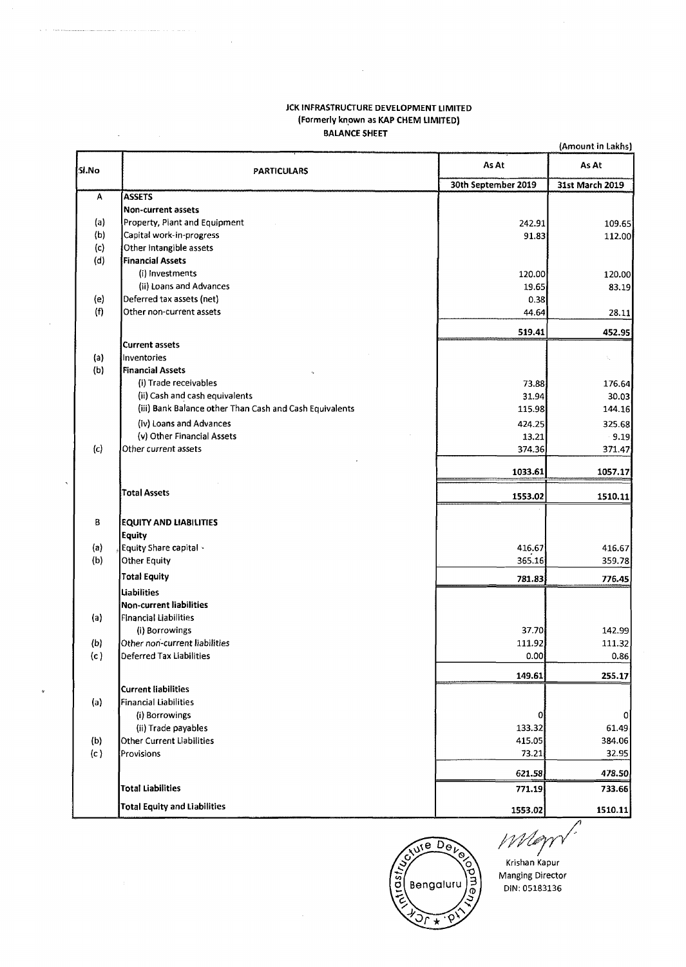### JCK INFRASTRUCTURE DEVELOPMENT LIMITED (Formerly known as **KAP** CHEM LIMITED) BALANCE SHEET

|       | (Amount in Lakhs)                                       |                     |                 |  |  |  |
|-------|---------------------------------------------------------|---------------------|-----------------|--|--|--|
| 5l.No | <b>PARTICULARS</b>                                      | As At               | As At           |  |  |  |
|       |                                                         | 30th September 2019 | 31st March 2019 |  |  |  |
| А     | <b>ASSETS</b>                                           |                     |                 |  |  |  |
|       | <b>Non-current assets</b>                               |                     |                 |  |  |  |
| (a)   | Property, Plant and Equipment                           | 242.91              | 109.65          |  |  |  |
| (b)   | Capital work-in-progress                                | 91.83               | 112.00          |  |  |  |
| (c)   | Other Intangible assets                                 |                     |                 |  |  |  |
| (d)   | <b>Financial Assets</b>                                 |                     |                 |  |  |  |
|       | (i) Investments                                         | 120.00              | 120.00          |  |  |  |
|       | (ii) Loans and Advances                                 | 19.65               | 83.19           |  |  |  |
| (e)   | Deferred tax assets (net)                               | 0.38                |                 |  |  |  |
| (f)   | Other non-current assets                                | 44.64               | 28.11           |  |  |  |
|       |                                                         | 519.41              | 452.95          |  |  |  |
|       | <b>Current assets</b>                                   |                     |                 |  |  |  |
| (a)   | Inventories                                             |                     |                 |  |  |  |
| (b)   | <b>Financial Assets</b>                                 |                     |                 |  |  |  |
|       | (i) Trade receivables                                   | 73.88               | 176.64          |  |  |  |
|       | (ii) Cash and cash equivalents                          | 31.94               | 30.03           |  |  |  |
|       | (iii) Bank Balance other Than Cash and Cash Equivalents | 115.98              | 144.16          |  |  |  |
|       | (iv) Loans and Advances                                 | 424.25              | 325.68          |  |  |  |
|       | (v) Other Financial Assets                              | 13.21               | 9.19            |  |  |  |
| (c)   | Other current assets                                    | 374.36              | 371.47          |  |  |  |
|       |                                                         |                     |                 |  |  |  |
|       |                                                         | 1033.61             | 1057.17         |  |  |  |
|       | <b>Total Assets</b>                                     | 1553.02             | 1510.11         |  |  |  |
|       |                                                         |                     |                 |  |  |  |
| В     | <b>EQUITY AND LIABILITIES</b>                           |                     |                 |  |  |  |
|       | Equity                                                  |                     |                 |  |  |  |
| (a)   | Equity Share capital -                                  | 416.67              | 416.67          |  |  |  |
| (b)   | Other Equity                                            | 365.16              | 359.78          |  |  |  |
|       | <b>Total Equity</b>                                     | 781.83              | 776.45          |  |  |  |
|       | <b>Liabilities</b>                                      |                     |                 |  |  |  |
|       | Non-current liabilities                                 |                     |                 |  |  |  |
| (a)   | Financial Liabilities                                   |                     |                 |  |  |  |
|       | (i) Borrowings                                          | 37.70               | 142.99          |  |  |  |
| (b)   | Other non-current liabilities                           | 111.92              | 111.32          |  |  |  |
| (c)   | Deferred Tax Liabilities                                | 0.00                | 0.86            |  |  |  |
|       |                                                         | 149.61              | 255.17          |  |  |  |
|       | <b>Current liabilities</b>                              |                     |                 |  |  |  |
| (a)   | Financial Liabilities                                   |                     |                 |  |  |  |
|       | (i) Borrowings                                          | 0                   | 0               |  |  |  |
|       | (ii) Trade payables                                     | 133.32              | 61.49           |  |  |  |
| (b)   | Other Current Liabilities                               | 415.05              | 384.06          |  |  |  |
| (c)   | Provisions                                              | 73.21               | 32.95           |  |  |  |
|       |                                                         | 621.58              | 478.50          |  |  |  |
|       | <b>Total Liabilities</b>                                | 771.19              | 733.66          |  |  |  |
|       | <b>Total Equity and Liabilities</b>                     | 1553.02             | 1510.11         |  |  |  |



Mayn Krishan Kapur Manging Director

DIN: 05183136

*A* 

 $\mathcal{L}_{\mathcal{L}}$ 

 $\mathcal{A}^{\mathcal{A}}$ 

 $\bar{\mathcal{A}}$ 

 $\sim$ 

 $\bar{z}$